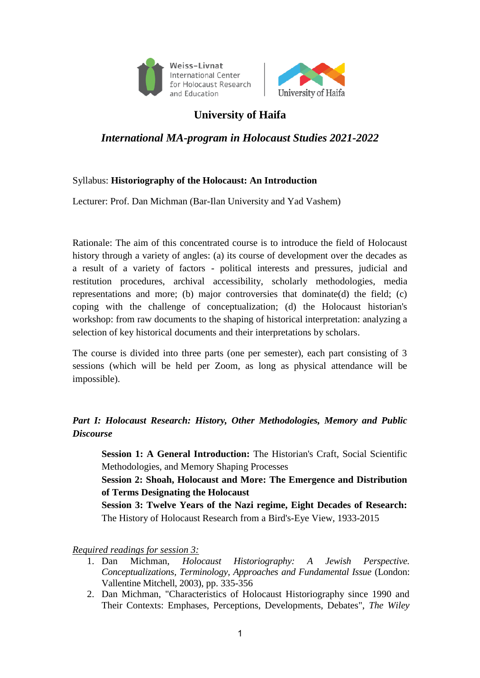



# **University of Haifa**

# *International MA-program in Holocaust Studies 2021-2022*

### Syllabus: **Historiography of the Holocaust: An Introduction**

Lecturer: Prof. Dan Michman (Bar-Ilan University and Yad Vashem)

Rationale: The aim of this concentrated course is to introduce the field of Holocaust history through a variety of angles: (a) its course of development over the decades as a result of a variety of factors - political interests and pressures, judicial and restitution procedures, archival accessibility, scholarly methodologies, media representations and more; (b) major controversies that dominate(d) the field; (c) coping with the challenge of conceptualization; (d) the Holocaust historian's workshop: from raw documents to the shaping of historical interpretation: analyzing a selection of key historical documents and their interpretations by scholars.

The course is divided into three parts (one per semester), each part consisting of 3 sessions (which will be held per Zoom, as long as physical attendance will be impossible).

## *Part I: Holocaust Research: History, Other Methodologies, Memory and Public Discourse*

**Session 1: A General Introduction:** The Historian's Craft, Social Scientific Methodologies, and Memory Shaping Processes

**Session 2: Shoah, Holocaust and More: The Emergence and Distribution of Terms Designating the Holocaust**

**Session 3: Twelve Years of the Nazi regime, Eight Decades of Research:**  The History of Holocaust Research from a Bird's-Eye View, 1933-2015

*Required readings for session 3:*

- 1. Dan Michman, *Holocaust Historiography: A Jewish Perspective. Conceptualizations, Terminology, Approaches and Fundamental Issue* (London: Vallentine Mitchell, 2003), pp. 335-356
- 2. Dan Michman, "Characteristics of Holocaust Historiography since 1990 and Their Contexts: Emphases, Perceptions, Developments, Debates", *The Wiley*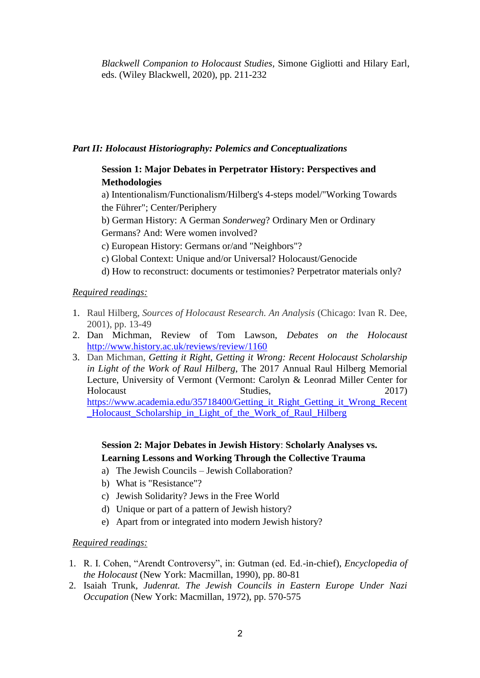*Blackwell Companion to Holocaust Studies,* Simone Gigliotti and Hilary Earl, eds. (Wiley Blackwell, 2020), pp. 211-232

### *Part II: Holocaust Historiography: Polemics and Conceptualizations*

### **Session 1: Major Debates in Perpetrator History: Perspectives and Methodologies**

a) Intentionalism/Functionalism/Hilberg's 4-steps model/"Working Towards the Führer"; Center/Periphery

b) German History: A German *Sonderweg*? Ordinary Men or Ordinary Germans? And: Were women involved?

c) European History: Germans or/and "Neighbors"?

- c) Global Context: Unique and/or Universal? Holocaust/Genocide
- d) How to reconstruct: documents or testimonies? Perpetrator materials only?

### *Required readings:*

- 1. Raul Hilberg, *Sources of Holocaust Research. An Analysis* (Chicago: Ivan R. Dee, 2001), pp. 13-49
- 2. Dan Michman, Review of Tom Lawson, *Debates on the Holocaust*  <http://www.history.ac.uk/reviews/review/1160>
- 3. Dan Michman, *Getting it Right, Getting it Wrong: Recent Holocaust Scholarship in Light of the Work of Raul Hilberg*, The 2017 Annual Raul Hilberg Memorial Lecture, University of Vermont (Vermont: Carolyn & Leonrad Miller Center for Holocaust Studies, 2017) https://www.academia.edu/35718400/Getting it Right Getting it Wrong Recent [\\_Holocaust\\_Scholarship\\_in\\_Light\\_of\\_the\\_Work\\_of\\_Raul\\_Hilberg](https://www.academia.edu/35718400/Getting_it_Right_Getting_it_Wrong_Recent_Holocaust_Scholarship_in_Light_of_the_Work_of_Raul_Hilberg)

### **Session 2: Major Debates in Jewish History**: **Scholarly Analyses vs. Learning Lessons and Working Through the Collective Trauma**

- a) The Jewish Councils Jewish Collaboration?
- b) What is "Resistance"?
- c) Jewish Solidarity? Jews in the Free World
- d) Unique or part of a pattern of Jewish history?
- e) Apart from or integrated into modern Jewish history?

### *Required readings:*

- 1. R. I. Cohen, "Arendt Controversy", in: Gutman (ed. Ed.-in-chief), *Encyclopedia of the Holocaust* (New York: Macmillan, 1990), pp. 80-81
- 2. Isaiah Trunk, *Judenrat. The Jewish Councils in Eastern Europe Under Nazi Occupation* (New York: Macmillan, 1972), pp. 570-575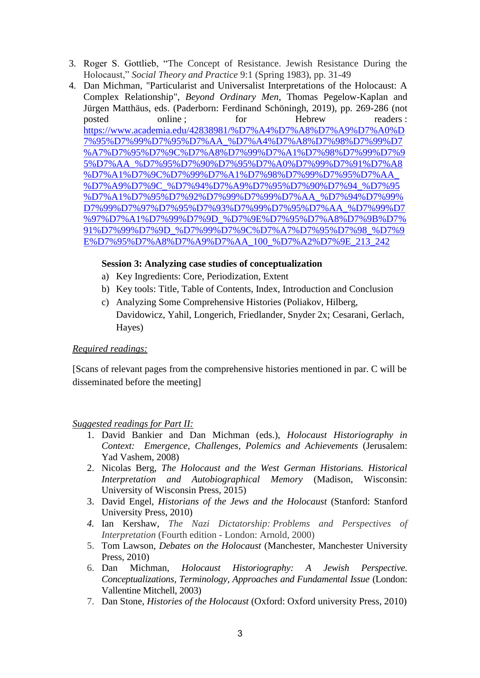- 3. Roger S. Gottlieb, "The Concept of Resistance. Jewish Resistance During the Holocaust," *Social Theory and Practice* 9:1 (Spring 1983), pp. 31-49
- 4. Dan Michman, "Particularist and Universalist Interpretations of the Holocaust: A Complex Relationship", *Beyond Ordinary Men*, Thomas Pegelow-Kaplan and Jürgen Matthäus, eds. (Paderborn: Ferdinand Schöningh, 2019), pp. 269-286 (not posted online ; https://www.formalfile.com/more.com/more.com/more.com/more.com/more.com/more.com/more.com/more<br>media and communications of the more in the more in the more in the more in the more in the more in the more i [https://www.academia.edu/42838981/%D7%A4%D7%A8%D7%A9%D7%A0%D](https://www.academia.edu/42838981/%D7%A4%D7%A8%D7%A9%D7%A0%D7%95%D7%99%D7%95%D7%AA_%D7%A4%D7%A8%D7%98%D7%99%D7%A7%D7%95%D7%9C%D7%A8%D7%99%D7%A1%D7%98%D7%99%D7%95%D7%AA_%D7%95%D7%90%D7%95%D7%A0%D7%99%D7%91%D7%A8%D7%A1%D7%9C%D7%99%D7%A1%D7%98%D7%99%D7%95%D7%AA_%D7%A9%D7%9C_%D7%94%D7%A9%D7%95%D7%90%D7%94_%D7%95%D7%A1%D7%95%D7%92%D7%99%D7%99%D7%AA_%D7%94%D7%99%D7%99%D7%97%D7%95%D7%93%D7%99%D7%95%D7%AA_%D7%99%D7%97%D7%A1%D7%99%D7%9D_%D7%9E%D7%95%D7%A8%D7%9B%D7%91%D7%99%D7%9D_%D7%99%D7%9C%D7%A7%D7%95%D7%98_%D7%9E%D7%95%D7%A8%D7%A9%D7%AA_100_%D7%A2%D7%9E_213_242) [7%95%D7%99%D7%95%D7%AA\\_%D7%A4%D7%A8%D7%98%D7%99%D7](https://www.academia.edu/42838981/%D7%A4%D7%A8%D7%A9%D7%A0%D7%95%D7%99%D7%95%D7%AA_%D7%A4%D7%A8%D7%98%D7%99%D7%A7%D7%95%D7%9C%D7%A8%D7%99%D7%A1%D7%98%D7%99%D7%95%D7%AA_%D7%95%D7%90%D7%95%D7%A0%D7%99%D7%91%D7%A8%D7%A1%D7%9C%D7%99%D7%A1%D7%98%D7%99%D7%95%D7%AA_%D7%A9%D7%9C_%D7%94%D7%A9%D7%95%D7%90%D7%94_%D7%95%D7%A1%D7%95%D7%92%D7%99%D7%99%D7%AA_%D7%94%D7%99%D7%99%D7%97%D7%95%D7%93%D7%99%D7%95%D7%AA_%D7%99%D7%97%D7%A1%D7%99%D7%9D_%D7%9E%D7%95%D7%A8%D7%9B%D7%91%D7%99%D7%9D_%D7%99%D7%9C%D7%A7%D7%95%D7%98_%D7%9E%D7%95%D7%A8%D7%A9%D7%AA_100_%D7%A2%D7%9E_213_242) [%A7%D7%95%D7%9C%D7%A8%D7%99%D7%A1%D7%98%D7%99%D7%9](https://www.academia.edu/42838981/%D7%A4%D7%A8%D7%A9%D7%A0%D7%95%D7%99%D7%95%D7%AA_%D7%A4%D7%A8%D7%98%D7%99%D7%A7%D7%95%D7%9C%D7%A8%D7%99%D7%A1%D7%98%D7%99%D7%95%D7%AA_%D7%95%D7%90%D7%95%D7%A0%D7%99%D7%91%D7%A8%D7%A1%D7%9C%D7%99%D7%A1%D7%98%D7%99%D7%95%D7%AA_%D7%A9%D7%9C_%D7%94%D7%A9%D7%95%D7%90%D7%94_%D7%95%D7%A1%D7%95%D7%92%D7%99%D7%99%D7%AA_%D7%94%D7%99%D7%99%D7%97%D7%95%D7%93%D7%99%D7%95%D7%AA_%D7%99%D7%97%D7%A1%D7%99%D7%9D_%D7%9E%D7%95%D7%A8%D7%9B%D7%91%D7%99%D7%9D_%D7%99%D7%9C%D7%A7%D7%95%D7%98_%D7%9E%D7%95%D7%A8%D7%A9%D7%AA_100_%D7%A2%D7%9E_213_242) [5%D7%AA\\_%D7%95%D7%90%D7%95%D7%A0%D7%99%D7%91%D7%A8](https://www.academia.edu/42838981/%D7%A4%D7%A8%D7%A9%D7%A0%D7%95%D7%99%D7%95%D7%AA_%D7%A4%D7%A8%D7%98%D7%99%D7%A7%D7%95%D7%9C%D7%A8%D7%99%D7%A1%D7%98%D7%99%D7%95%D7%AA_%D7%95%D7%90%D7%95%D7%A0%D7%99%D7%91%D7%A8%D7%A1%D7%9C%D7%99%D7%A1%D7%98%D7%99%D7%95%D7%AA_%D7%A9%D7%9C_%D7%94%D7%A9%D7%95%D7%90%D7%94_%D7%95%D7%A1%D7%95%D7%92%D7%99%D7%99%D7%AA_%D7%94%D7%99%D7%99%D7%97%D7%95%D7%93%D7%99%D7%95%D7%AA_%D7%99%D7%97%D7%A1%D7%99%D7%9D_%D7%9E%D7%95%D7%A8%D7%9B%D7%91%D7%99%D7%9D_%D7%99%D7%9C%D7%A7%D7%95%D7%98_%D7%9E%D7%95%D7%A8%D7%A9%D7%AA_100_%D7%A2%D7%9E_213_242) [%D7%A1%D7%9C%D7%99%D7%A1%D7%98%D7%99%D7%95%D7%AA\\_](https://www.academia.edu/42838981/%D7%A4%D7%A8%D7%A9%D7%A0%D7%95%D7%99%D7%95%D7%AA_%D7%A4%D7%A8%D7%98%D7%99%D7%A7%D7%95%D7%9C%D7%A8%D7%99%D7%A1%D7%98%D7%99%D7%95%D7%AA_%D7%95%D7%90%D7%95%D7%A0%D7%99%D7%91%D7%A8%D7%A1%D7%9C%D7%99%D7%A1%D7%98%D7%99%D7%95%D7%AA_%D7%A9%D7%9C_%D7%94%D7%A9%D7%95%D7%90%D7%94_%D7%95%D7%A1%D7%95%D7%92%D7%99%D7%99%D7%AA_%D7%94%D7%99%D7%99%D7%97%D7%95%D7%93%D7%99%D7%95%D7%AA_%D7%99%D7%97%D7%A1%D7%99%D7%9D_%D7%9E%D7%95%D7%A8%D7%9B%D7%91%D7%99%D7%9D_%D7%99%D7%9C%D7%A7%D7%95%D7%98_%D7%9E%D7%95%D7%A8%D7%A9%D7%AA_100_%D7%A2%D7%9E_213_242) [%D7%A9%D7%9C\\_%D7%94%D7%A9%D7%95%D7%90%D7%94\\_%D7%95](https://www.academia.edu/42838981/%D7%A4%D7%A8%D7%A9%D7%A0%D7%95%D7%99%D7%95%D7%AA_%D7%A4%D7%A8%D7%98%D7%99%D7%A7%D7%95%D7%9C%D7%A8%D7%99%D7%A1%D7%98%D7%99%D7%95%D7%AA_%D7%95%D7%90%D7%95%D7%A0%D7%99%D7%91%D7%A8%D7%A1%D7%9C%D7%99%D7%A1%D7%98%D7%99%D7%95%D7%AA_%D7%A9%D7%9C_%D7%94%D7%A9%D7%95%D7%90%D7%94_%D7%95%D7%A1%D7%95%D7%92%D7%99%D7%99%D7%AA_%D7%94%D7%99%D7%99%D7%97%D7%95%D7%93%D7%99%D7%95%D7%AA_%D7%99%D7%97%D7%A1%D7%99%D7%9D_%D7%9E%D7%95%D7%A8%D7%9B%D7%91%D7%99%D7%9D_%D7%99%D7%9C%D7%A7%D7%95%D7%98_%D7%9E%D7%95%D7%A8%D7%A9%D7%AA_100_%D7%A2%D7%9E_213_242) [%D7%A1%D7%95%D7%92%D7%99%D7%99%D7%AA\\_%D7%94%D7%99%](https://www.academia.edu/42838981/%D7%A4%D7%A8%D7%A9%D7%A0%D7%95%D7%99%D7%95%D7%AA_%D7%A4%D7%A8%D7%98%D7%99%D7%A7%D7%95%D7%9C%D7%A8%D7%99%D7%A1%D7%98%D7%99%D7%95%D7%AA_%D7%95%D7%90%D7%95%D7%A0%D7%99%D7%91%D7%A8%D7%A1%D7%9C%D7%99%D7%A1%D7%98%D7%99%D7%95%D7%AA_%D7%A9%D7%9C_%D7%94%D7%A9%D7%95%D7%90%D7%94_%D7%95%D7%A1%D7%95%D7%92%D7%99%D7%99%D7%AA_%D7%94%D7%99%D7%99%D7%97%D7%95%D7%93%D7%99%D7%95%D7%AA_%D7%99%D7%97%D7%A1%D7%99%D7%9D_%D7%9E%D7%95%D7%A8%D7%9B%D7%91%D7%99%D7%9D_%D7%99%D7%9C%D7%A7%D7%95%D7%98_%D7%9E%D7%95%D7%A8%D7%A9%D7%AA_100_%D7%A2%D7%9E_213_242) [D7%99%D7%97%D7%95%D7%93%D7%99%D7%95%D7%AA\\_%D7%99%D7](https://www.academia.edu/42838981/%D7%A4%D7%A8%D7%A9%D7%A0%D7%95%D7%99%D7%95%D7%AA_%D7%A4%D7%A8%D7%98%D7%99%D7%A7%D7%95%D7%9C%D7%A8%D7%99%D7%A1%D7%98%D7%99%D7%95%D7%AA_%D7%95%D7%90%D7%95%D7%A0%D7%99%D7%91%D7%A8%D7%A1%D7%9C%D7%99%D7%A1%D7%98%D7%99%D7%95%D7%AA_%D7%A9%D7%9C_%D7%94%D7%A9%D7%95%D7%90%D7%94_%D7%95%D7%A1%D7%95%D7%92%D7%99%D7%99%D7%AA_%D7%94%D7%99%D7%99%D7%97%D7%95%D7%93%D7%99%D7%95%D7%AA_%D7%99%D7%97%D7%A1%D7%99%D7%9D_%D7%9E%D7%95%D7%A8%D7%9B%D7%91%D7%99%D7%9D_%D7%99%D7%9C%D7%A7%D7%95%D7%98_%D7%9E%D7%95%D7%A8%D7%A9%D7%AA_100_%D7%A2%D7%9E_213_242) [%97%D7%A1%D7%99%D7%9D\\_%D7%9E%D7%95%D7%A8%D7%9B%D7%](https://www.academia.edu/42838981/%D7%A4%D7%A8%D7%A9%D7%A0%D7%95%D7%99%D7%95%D7%AA_%D7%A4%D7%A8%D7%98%D7%99%D7%A7%D7%95%D7%9C%D7%A8%D7%99%D7%A1%D7%98%D7%99%D7%95%D7%AA_%D7%95%D7%90%D7%95%D7%A0%D7%99%D7%91%D7%A8%D7%A1%D7%9C%D7%99%D7%A1%D7%98%D7%99%D7%95%D7%AA_%D7%A9%D7%9C_%D7%94%D7%A9%D7%95%D7%90%D7%94_%D7%95%D7%A1%D7%95%D7%92%D7%99%D7%99%D7%AA_%D7%94%D7%99%D7%99%D7%97%D7%95%D7%93%D7%99%D7%95%D7%AA_%D7%99%D7%97%D7%A1%D7%99%D7%9D_%D7%9E%D7%95%D7%A8%D7%9B%D7%91%D7%99%D7%9D_%D7%99%D7%9C%D7%A7%D7%95%D7%98_%D7%9E%D7%95%D7%A8%D7%A9%D7%AA_100_%D7%A2%D7%9E_213_242) [91%D7%99%D7%9D\\_%D7%99%D7%9C%D7%A7%D7%95%D7%98\\_%D7%9](https://www.academia.edu/42838981/%D7%A4%D7%A8%D7%A9%D7%A0%D7%95%D7%99%D7%95%D7%AA_%D7%A4%D7%A8%D7%98%D7%99%D7%A7%D7%95%D7%9C%D7%A8%D7%99%D7%A1%D7%98%D7%99%D7%95%D7%AA_%D7%95%D7%90%D7%95%D7%A0%D7%99%D7%91%D7%A8%D7%A1%D7%9C%D7%99%D7%A1%D7%98%D7%99%D7%95%D7%AA_%D7%A9%D7%9C_%D7%94%D7%A9%D7%95%D7%90%D7%94_%D7%95%D7%A1%D7%95%D7%92%D7%99%D7%99%D7%AA_%D7%94%D7%99%D7%99%D7%97%D7%95%D7%93%D7%99%D7%95%D7%AA_%D7%99%D7%97%D7%A1%D7%99%D7%9D_%D7%9E%D7%95%D7%A8%D7%9B%D7%91%D7%99%D7%9D_%D7%99%D7%9C%D7%A7%D7%95%D7%98_%D7%9E%D7%95%D7%A8%D7%A9%D7%AA_100_%D7%A2%D7%9E_213_242) [E%D7%95%D7%A8%D7%A9%D7%AA\\_100\\_%D7%A2%D7%9E\\_213\\_242](https://www.academia.edu/42838981/%D7%A4%D7%A8%D7%A9%D7%A0%D7%95%D7%99%D7%95%D7%AA_%D7%A4%D7%A8%D7%98%D7%99%D7%A7%D7%95%D7%9C%D7%A8%D7%99%D7%A1%D7%98%D7%99%D7%95%D7%AA_%D7%95%D7%90%D7%95%D7%A0%D7%99%D7%91%D7%A8%D7%A1%D7%9C%D7%99%D7%A1%D7%98%D7%99%D7%95%D7%AA_%D7%A9%D7%9C_%D7%94%D7%A9%D7%95%D7%90%D7%94_%D7%95%D7%A1%D7%95%D7%92%D7%99%D7%99%D7%AA_%D7%94%D7%99%D7%99%D7%97%D7%95%D7%93%D7%99%D7%95%D7%AA_%D7%99%D7%97%D7%A1%D7%99%D7%9D_%D7%9E%D7%95%D7%A8%D7%9B%D7%91%D7%99%D7%9D_%D7%99%D7%9C%D7%A7%D7%95%D7%98_%D7%9E%D7%95%D7%A8%D7%A9%D7%AA_100_%D7%A2%D7%9E_213_242)

### **Session 3: Analyzing case studies of conceptualization**

- a) Key Ingredients: Core, Periodization, Extent
- b) Key tools: Title, Table of Contents, Index, Introduction and Conclusion
- c) Analyzing Some Comprehensive Histories (Poliakov, Hilberg, Davidowicz, Yahil, Longerich, Friedlander, Snyder 2x; Cesarani, Gerlach, Hayes)

### *Required readings:*

[Scans of relevant pages from the comprehensive histories mentioned in par. C will be disseminated before the meeting]

### *Suggested readings for Part II:*

- 1. David Bankier and Dan Michman (eds.), *Holocaust Historiography in Context: Emergence, Challenges, Polemics and Achievements* (Jerusalem: Yad Vashem, 2008)
- 2. Nicolas Berg, *The Holocaust and the West German Historians. Historical Interpretation and Autobiographical Memory* (Madison, Wisconsin: University of Wisconsin Press, 2015)
- 3. David Engel, *Historians of the Jews and the Holocaust* (Stanford: Stanford University Press, 2010)
- *4.* Ian Kershaw, *The Nazi Dictatorship: Problems and Perspectives of Interpretation* (Fourth edition - London: Arnold, 2000)
- 5. Tom Lawson, *Debates on the Holocaust* (Manchester, Manchester University Press, 2010)
- 6. Dan Michman, *Holocaust Historiography: A Jewish Perspective. Conceptualizations, Terminology, Approaches and Fundamental Issue* (London: Vallentine Mitchell, 2003)
- 7. Dan Stone, *Histories of the Holocaust* (Oxford: Oxford university Press, 2010)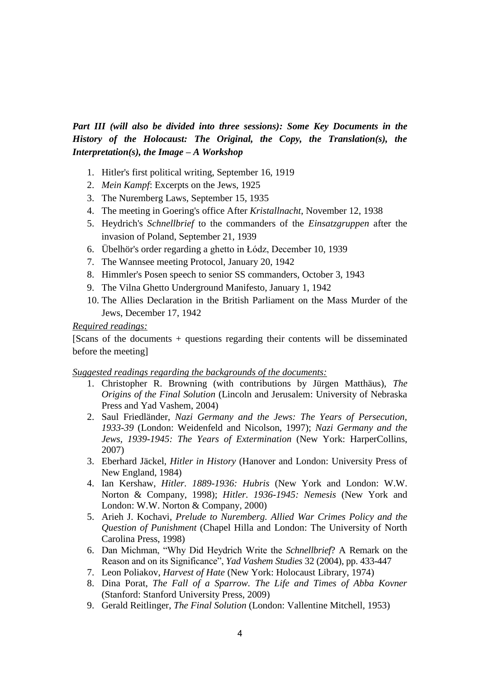*Part III (will also be divided into three sessions): Some Key Documents in the History of the Holocaust: The Original, the Copy, the Translation(s), the Interpretation(s), the Image – A Workshop*

- 1. Hitler's first political writing, September 16, 1919
- 2. *Mein Kampf*: Excerpts on the Jews, 1925
- 3. The Nuremberg Laws, September 15, 1935
- 4. The meeting in Goering's office After *Kristallnacht*, November 12, 1938
- 5. Heydrich's *Schnellbrief* to the commanders of the *Einsatzgruppen* after the invasion of Poland, September 21, 1939
- 6. Übelhör's order regarding a ghetto in Łódz, December 10, 1939
- 7. The Wannsee meeting Protocol, January 20, 1942
- 8. Himmler's Posen speech to senior SS commanders, October 3, 1943
- 9. The Vilna Ghetto Underground Manifesto, January 1, 1942
- 10. The Allies Declaration in the British Parliament on the Mass Murder of the Jews, December 17, 1942

### *Required readings:*

[Scans of the documents + questions regarding their contents will be disseminated before the meeting]

### *Suggested readings regarding the backgrounds of the documents:*

- 1. Christopher R. Browning (with contributions by Jürgen Matthäus), *The Origins of the Final Solution* (Lincoln and Jerusalem: University of Nebraska Press and Yad Vashem, 2004)
- 2. Saul Friedländer, *Nazi Germany and the Jews: The Years of Persecution, 1933-39* (London: Weidenfeld and Nicolson, 1997); *Nazi Germany and the Jews, 1939-1945: The Years of Extermination* (New York: HarperCollins, 2007)
- 3. Eberhard Jäckel, *Hitler in History* (Hanover and London: University Press of New England, 1984)
- 4. Ian Kershaw, *Hitler. 1889-1936: Hubris* (New York and London: W.W. Norton & Company, 1998); *Hitler. 1936-1945: Nemesis* (New York and London: W.W. Norton & Company, 2000)
- 5. Arieh J. Kochavi, *Prelude to Nuremberg. Allied War Crimes Policy and the Question of Punishment* (Chapel Hilla and London: The University of North Carolina Press, 1998)
- 6. Dan Michman, "Why Did Heydrich Write the *Schnellbrief*? A Remark on the Reason and on its Significance", *Yad Vashem Studies* 32 (2004), pp. 433-447
- 7. Leon Poliakov, *Harvest of Hate* (New York: Holocaust Library, 1974)
- 8. Dina Porat, *The Fall of a Sparrow. The Life and Times of Abba Kovner*  (Stanford: Stanford University Press, 2009)
- 9. Gerald Reitlinger, *The Final Solution* (London: Vallentine Mitchell, 1953)